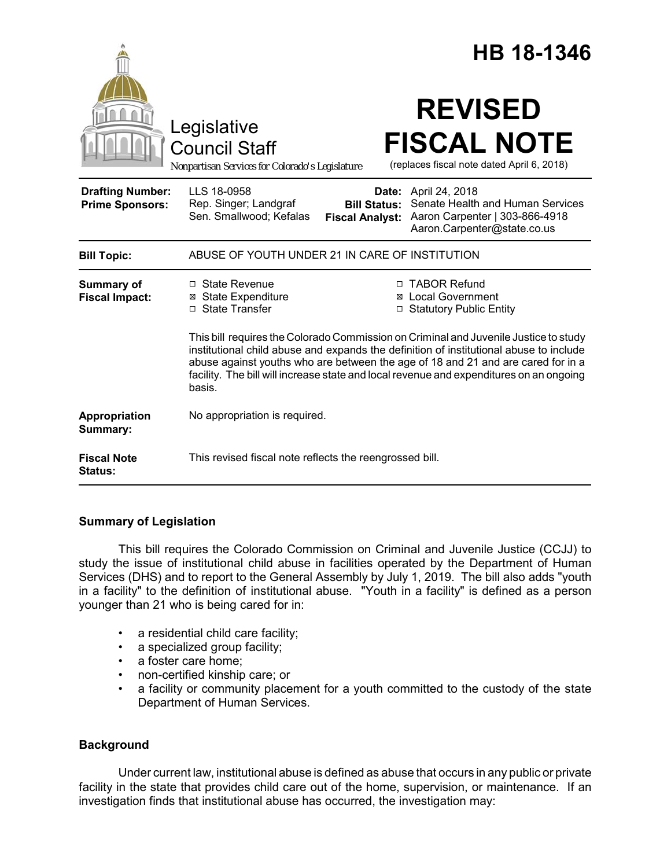|                                                   |                                                                                                                                                                                                                                                                                                                                                                                                                                                                                                                                              |                                               | HB 18-1346                                                                                                                       |
|---------------------------------------------------|----------------------------------------------------------------------------------------------------------------------------------------------------------------------------------------------------------------------------------------------------------------------------------------------------------------------------------------------------------------------------------------------------------------------------------------------------------------------------------------------------------------------------------------------|-----------------------------------------------|----------------------------------------------------------------------------------------------------------------------------------|
|                                                   | Legislative<br><b>Council Staff</b><br>Nonpartisan Services for Colorado's Legislature                                                                                                                                                                                                                                                                                                                                                                                                                                                       |                                               | <b>REVISED</b><br><b>FISCAL NOTE</b><br>(replaces fiscal note dated April 6, 2018)                                               |
| <b>Drafting Number:</b><br><b>Prime Sponsors:</b> | LLS 18-0958<br>Rep. Singer; Landgraf<br>Sen. Smallwood; Kefalas                                                                                                                                                                                                                                                                                                                                                                                                                                                                              | <b>Bill Status:</b><br><b>Fiscal Analyst:</b> | <b>Date:</b> April 24, 2018<br>Senate Health and Human Services<br>Aaron Carpenter   303-866-4918<br>Aaron.Carpenter@state.co.us |
| <b>Bill Topic:</b>                                | ABUSE OF YOUTH UNDER 21 IN CARE OF INSTITUTION                                                                                                                                                                                                                                                                                                                                                                                                                                                                                               |                                               |                                                                                                                                  |
| <b>Summary of</b><br><b>Fiscal Impact:</b>        | □ TABOR Refund<br>$\Box$ State Revenue<br><b>⊠</b> State Expenditure<br><b>⊠</b> Local Government<br>$\Box$ State Transfer<br><b>Statutory Public Entity</b><br>□<br>This bill requires the Colorado Commission on Criminal and Juvenile Justice to study<br>institutional child abuse and expands the definition of institutional abuse to include<br>abuse against youths who are between the age of 18 and 21 and are cared for in a<br>facility. The bill will increase state and local revenue and expenditures on an ongoing<br>basis. |                                               |                                                                                                                                  |
| Appropriation<br>Summary:                         | No appropriation is required.                                                                                                                                                                                                                                                                                                                                                                                                                                                                                                                |                                               |                                                                                                                                  |
| <b>Fiscal Note</b><br><b>Status:</b>              | This revised fiscal note reflects the reengrossed bill.                                                                                                                                                                                                                                                                                                                                                                                                                                                                                      |                                               |                                                                                                                                  |

### **Summary of Legislation**

This bill requires the Colorado Commission on Criminal and Juvenile Justice (CCJJ) to study the issue of institutional child abuse in facilities operated by the Department of Human Services (DHS) and to report to the General Assembly by July 1, 2019. The bill also adds "youth in a facility" to the definition of institutional abuse. "Youth in a facility" is defined as a person younger than 21 who is being cared for in:

- a residential child care facility;
- a specialized group facility;
- a foster care home;
- non-certified kinship care; or
- a facility or community placement for a youth committed to the custody of the state Department of Human Services.

# **Background**

Under current law, institutional abuse is defined as abuse that occurs in any public or private facility in the state that provides child care out of the home, supervision, or maintenance. If an investigation finds that institutional abuse has occurred, the investigation may: